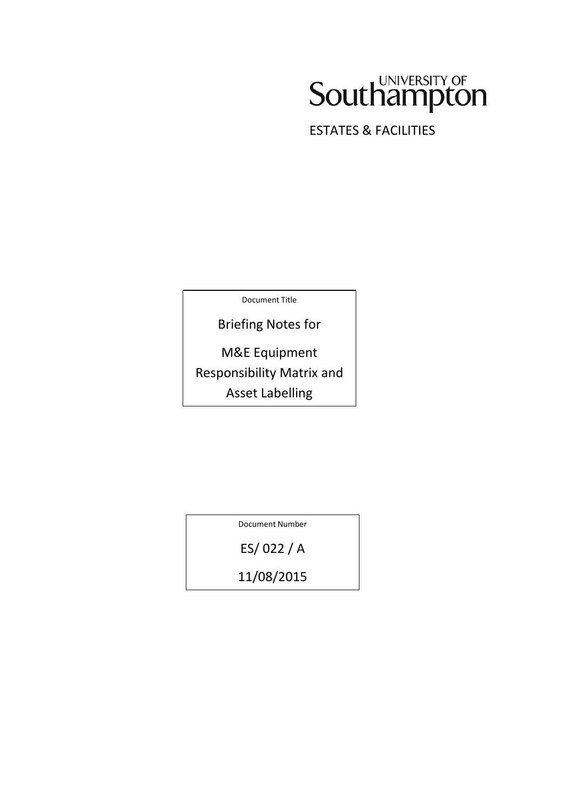# Southampton

ESTATES & FACILITIES

Document Title

Briefing Notes for

M&E Equipment Responsibility Matrix and Asset Labelling

Document Number

ES/ 022 / A

11/08/2015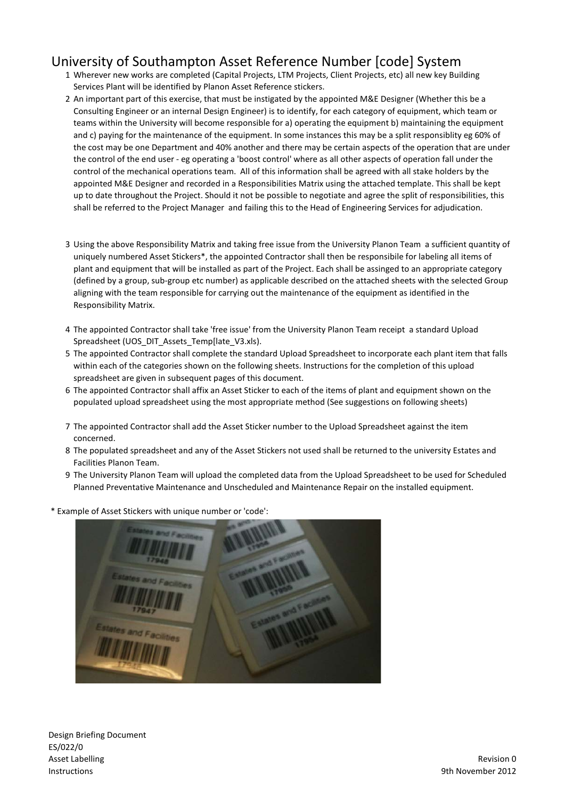#### University of Southampton Asset Reference Number [code] System

- 1 Wherever new works are completed (Capital Projects, LTM Projects, Client Projects, etc) all new key Building Services Plant will be identified by Planon Asset Reference stickers.
- 2 An important part of this exercise, that must be instigated by the appointed M&E Designer (Whether this be a Consulting Engineer or an internal Design Engineer) is to identify, for each category of equipment, which team or teams within the University will become responsible for a) operating the equipment b) maintaining the equipment and c) paying for the maintenance of the equipment. In some instances this may be a split responsiblity eg 60% of the cost may be one Department and 40% another and there may be certain aspects of the operation that are under the control of the end user - eg operating a 'boost control' where as all other aspects of operation fall under the control of the mechanical operations team. All of this information shall be agreed with all stake holders by the appointed M&E Designer and recorded in a Responsibilities Matrix using the attached template. This shall be kept up to date throughout the Project. Should it not be possible to negotiate and agree the split of responsibilities, this shall be referred to the Project Manager and failing this to the Head of Engineering Services for adjudication.
- 3 Using the above Responsibility Matrix and taking free issue from the University Planon Team a sufficient quantity of uniquely numbered Asset Stickers\*, the appointed Contractor shall then be responsibile for labeling all items of plant and equipment that will be installed as part of the Project. Each shall be assinged to an appropriate category (defined by a group, sub-group etc number) as applicable described on the attached sheets with the selected Group aligning with the team responsible for carrying out the maintenance of the equipment as identified in the Responsibility Matrix.
- 4 The appointed Contractor shall take 'free issue' from the University Planon Team receipt a standard Upload Spreadsheet (UOS\_DIT\_Assets\_Temp[late\_V3.xls).
- 5 The appointed Contractor shall complete the standard Upload Spreadsheet to incorporate each plant item that falls within each of the categories shown on the following sheets. Instructions for the completion of this upload spreadsheet are given in subsequent pages of this document.
- 6 The appointed Contractor shall affix an Asset Sticker to each of the items of plant and equipment shown on the populated upload spreadsheet using the most appropriate method (See suggestions on following sheets)
- 7 The appointed Contractor shall add the Asset Sticker number to the Upload Spreadsheet against the item concerned.
- 8 The populated spreadsheet and any of the Asset Stickers not used shall be returned to the university Estates and Facilities Planon Team.
- 9 The University Planon Team will upload the completed data from the Upload Spreadsheet to be used for Scheduled Planned Preventative Maintenance and Unscheduled and Maintenance Repair on the installed equipment.
- \* Example of Asset Stickers with unique number or 'code':

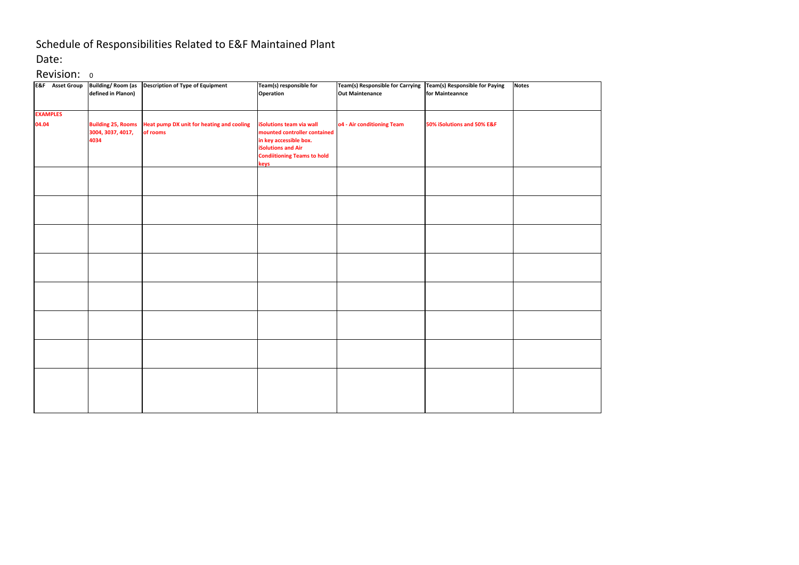## Schedule of Responsibilities Related to E&F Maintained Plant

#### Date:

### Revision: 0

| <b>E&amp;F</b> Asset Group | <b>Building/Room (as</b><br>defined in Planon)         | <b>Description of Type of Equipment</b>               | Team(s) responsible for<br>Operation                                                                                                                          | Team(s) Responsible for Carrying Team(s) Responsible for Paying<br><b>Out Maintenance</b> | for Mainteannce            | <b>Notes</b> |
|----------------------------|--------------------------------------------------------|-------------------------------------------------------|---------------------------------------------------------------------------------------------------------------------------------------------------------------|-------------------------------------------------------------------------------------------|----------------------------|--------------|
| <b>EXAMPLES</b>            |                                                        |                                                       |                                                                                                                                                               |                                                                                           |                            |              |
| 04.04                      | <b>Building 25, Rooms</b><br>3004, 3037, 4017,<br>4034 | Heat pump DX unit for heating and cooling<br>of rooms | iSolutions team via wall<br>mounted controller contained<br>in key accessible box.<br><b>iSolutions and Air</b><br><b>Condiitioning Teams to hold</b><br>keys | o4 - Air conditioning Team                                                                | 50% iSolutions and 50% E&F |              |
|                            |                                                        |                                                       |                                                                                                                                                               |                                                                                           |                            |              |
|                            |                                                        |                                                       |                                                                                                                                                               |                                                                                           |                            |              |
|                            |                                                        |                                                       |                                                                                                                                                               |                                                                                           |                            |              |
|                            |                                                        |                                                       |                                                                                                                                                               |                                                                                           |                            |              |
|                            |                                                        |                                                       |                                                                                                                                                               |                                                                                           |                            |              |
|                            |                                                        |                                                       |                                                                                                                                                               |                                                                                           |                            |              |
|                            |                                                        |                                                       |                                                                                                                                                               |                                                                                           |                            |              |
|                            |                                                        |                                                       |                                                                                                                                                               |                                                                                           |                            |              |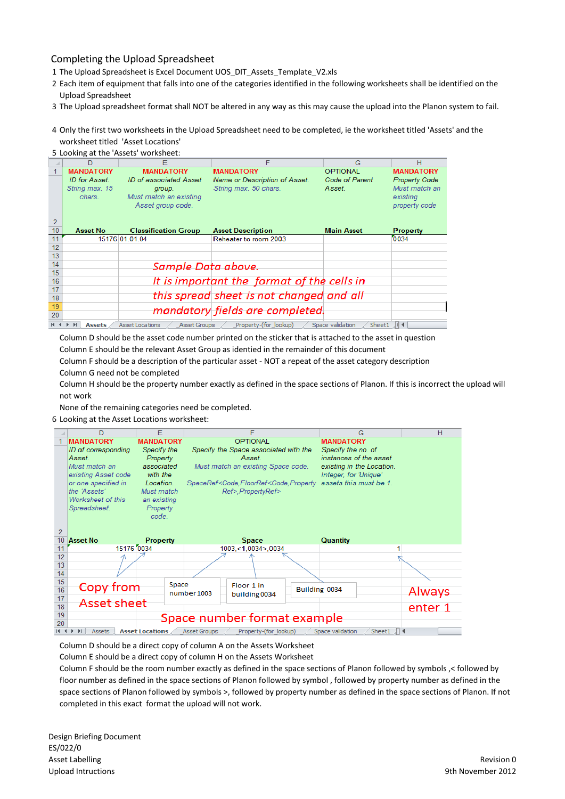#### Completing the Upload Spreadsheet

- 1 The Upload Spreadsheet is Excel Document UOS\_DIT\_Assets\_Template\_V2.xls
- 2 Each item of equipment that falls into one of the categories identified in the following worksheets shall be identified on the Upload Spreadsheet
- 3 The Upload spreadsheet format shall NOT be altered in any way as this may cause the upload into the Planon system to fail.
- 4 Only the first two worksheets in the Upload Spreadsheet need to be completed, ie the worksheet titled 'Assets' and the worksheet titled 'Asset Locations'

|                |                  | F                                             | F                                          | G                          | H                    |
|----------------|------------------|-----------------------------------------------|--------------------------------------------|----------------------------|----------------------|
|                | <b>MANDATORY</b> | <b>MANDATORY</b>                              | <b>MANDATORY</b>                           | <b>OPTIONAL</b>            | <b>MANDATORY</b>     |
|                | ID for Asset.    | ID of associated Asset                        | Name or Description of Asset.              | Code of Parent             | <b>Property Code</b> |
|                | String max. 15   | group.                                        | String max. 50 chars.                      | Asset.                     | Must match an        |
|                | chars.           | Must match an existing                        |                                            |                            | existing             |
|                |                  | Asset group code.                             |                                            |                            | property code        |
|                |                  |                                               |                                            |                            |                      |
| $\overline{2}$ |                  |                                               |                                            |                            |                      |
| 10             | <b>Asset No</b>  | <b>Classification Group</b>                   | <b>Asset Description</b>                   | <b>Main Asset</b>          | <b>Property</b>      |
| 11             |                  | 15176 01.01.04                                | Reheater to room 2003                      |                            | 0034                 |
| 12             |                  |                                               |                                            |                            |                      |
| 13             |                  |                                               |                                            |                            |                      |
| 14             |                  | Sample Data above.                            |                                            |                            |                      |
| 15             |                  |                                               |                                            |                            |                      |
| 16             |                  |                                               | It is important the format of the cells in |                            |                      |
| 17             |                  |                                               |                                            |                            |                      |
| 18             |                  |                                               | this spread sheet is not changed and all   |                            |                      |
| 19             |                  |                                               | mandatory fields are completed.            |                            |                      |
| 20             |                  |                                               |                                            |                            |                      |
| $14 - 4$       | <b>Assets</b>    | <b>Asset Locations</b><br><b>Asset Groups</b> | Property-(for lookup)                      | Space validation<br>Sheet1 | 用图                   |

Column D should be the asset code number printed on the sticker that is attached to the asset in question Column E should be the relevant Asset Group as identied in the remainder of this document

Column F should be a description of the particular asset - NOT a repeat of the asset category description Column G need not be completed

Column H should be the property number exactly as defined in the space sections of Planon. If this is incorrect the upload will not work

None of the remaining categories need be completed.

6 Looking at the Asset Locations worksheet:

|                | D                               | F                      |                     | F                                                                                                                                   | G                                 | н       |
|----------------|---------------------------------|------------------------|---------------------|-------------------------------------------------------------------------------------------------------------------------------------|-----------------------------------|---------|
|                | <b>MANDATORY</b>                | <b>MANDATORY</b>       |                     | <b>OPTIONAL</b>                                                                                                                     | <b>MANDATORY</b>                  |         |
|                | ID of corresponding             | Specify the            |                     | Specify the Space associated with the                                                                                               | Specify the no. of                |         |
|                | Asset                           | Property               |                     | Asset                                                                                                                               | instances of the asset            |         |
|                | Must match an                   | associated             |                     | Must match an existing Space code.                                                                                                  | existing in the Location.         |         |
|                | existing Asset code             | with the               |                     |                                                                                                                                     | Integer, for 'Unique'             |         |
|                | or one specified in             | Location               |                     | SpaceRef <code,floorref<code,property 1.<="" assets="" be="" must="" td="" this=""><td></td><td></td></code,floorref<code,property> |                                   |         |
|                | the 'Assets'                    | Must match             |                     | Ref>, PropertyRef>                                                                                                                  |                                   |         |
|                | Worksheet of this               | an existing            |                     |                                                                                                                                     |                                   |         |
|                | Spreadsheet.                    | Property               |                     |                                                                                                                                     |                                   |         |
|                |                                 | code.                  |                     |                                                                                                                                     |                                   |         |
| $\overline{2}$ |                                 |                        |                     |                                                                                                                                     |                                   |         |
| 10             | <b>Asset No</b>                 | <b>Property</b>        |                     | <b>Space</b>                                                                                                                        | <b>Quantity</b>                   |         |
| 11             | 15176 0034                      |                        |                     | 1003,<1.0034>,0034                                                                                                                  |                                   |         |
| 12             |                                 |                        |                     |                                                                                                                                     |                                   |         |
| 13             |                                 |                        |                     |                                                                                                                                     |                                   |         |
| 14             |                                 |                        |                     |                                                                                                                                     |                                   |         |
| 15             |                                 |                        |                     |                                                                                                                                     |                                   |         |
| 16             | Copy from                       | Space                  | number 1003         | Floor 1 in                                                                                                                          | Building 0034                     | Always  |
| 17             |                                 |                        |                     | building 0034                                                                                                                       |                                   |         |
| 18             | <b>Asset sheet</b>              |                        |                     |                                                                                                                                     |                                   | enter 1 |
| 19             |                                 |                        |                     | Space number format example                                                                                                         |                                   |         |
| 20             |                                 |                        |                     |                                                                                                                                     |                                   |         |
|                | $\blacktriangleright$<br>Assets | <b>Asset Locations</b> | <b>Asset Groups</b> | Property-(for_lookup)                                                                                                               | Space validation<br>Sheet1 $  $ 4 |         |

Column D should be a direct copy of column A on the Assets Worksheet

Column E should be a direct copy of column H on the Assets Worksheet

Column F should be the room number exactly as defined in the space sections of Planon followed by symbols ,< followed by floor number as defined in the space sections of Planon followed by symbol , followed by property number as defined in the space sections of Planon followed by symbols >, followed by property number as defined in the space sections of Planon. If not completed in this exact format the upload will not work.

Design Briefing Document ES/022/0 Asset Labelling Upload Intructions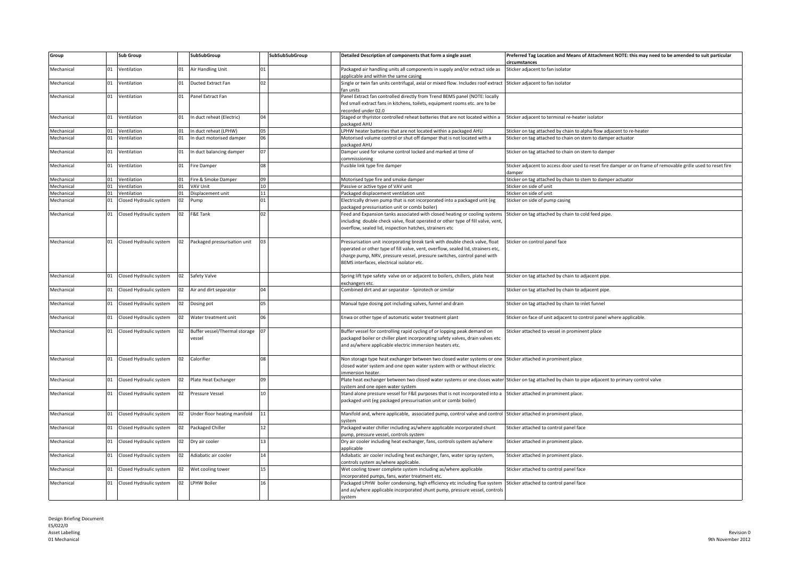| Group      |    | <b>Sub Group</b>           |    | SubSubGroup                   |                | SubSubSubGroup | Detailed Description of components that form a single asset                                                     | Preferred Tag Location and Means of Attachment NOTE: this may need to be amended to suit particular<br><b>ircumstances</b> |
|------------|----|----------------------------|----|-------------------------------|----------------|----------------|-----------------------------------------------------------------------------------------------------------------|----------------------------------------------------------------------------------------------------------------------------|
| Mechanical | 01 | Ventilation                | 01 | Air Handling Unit             |                |                | Packaged air handling units all components in supply and/or extract side as                                     | Sticker adjacent to fan isolator                                                                                           |
|            |    |                            |    |                               |                |                | applicable and within the same casing                                                                           |                                                                                                                            |
| Mechanical | 01 | Ventilation                | 01 | Ducted Extract Fan            | n <sub>2</sub> |                | Single or twin fan units centrifugal, axial or mixed flow. Includes roof extract                                | Sticker adjacent to fan isolator                                                                                           |
|            |    |                            |    |                               |                |                | an units                                                                                                        |                                                                                                                            |
| Mechanical | 01 | Ventilation                | 01 | Panel Extract Fan             |                |                | Panel Extract fan controlled directly from Trend BEMS panel (NOTE: locally                                      |                                                                                                                            |
|            |    |                            |    |                               |                |                | fed small extract fans in kitchens, toilets, equipment rooms etc. are to be                                     |                                                                                                                            |
|            |    |                            |    |                               |                |                | ecorded under 02.0                                                                                              |                                                                                                                            |
| Mechanical | 01 | Ventilation                | 01 | In duct reheat (Electric)     |                |                | Staged or thyristor controlled reheat batteries that are not located within a                                   | Sticker adjacent to terminal re-heater isolator                                                                            |
|            |    |                            |    |                               |                |                | ackaged AHU                                                                                                     |                                                                                                                            |
| Mechanical | 01 | Ventilation                | 01 | In duct reheat (LPHW)         | 05             |                | LPHW heater batteries that are not located within a packaged AHU                                                | Sticker on tag attached by chain to alpha flow adjacent to re-heater                                                       |
| Mechanical | 01 | Ventilation                | 01 | In duct motorised damper      |                |                | Motorised volume control or shut off damper that is not located with a                                          | Sticker on tag attached to chain on stem to damper actuator                                                                |
|            |    |                            |    |                               |                |                | ackaged AHU                                                                                                     |                                                                                                                            |
| Mechanical | 01 | Ventilation                | 01 | In duct balancing damper      | 07             |                | Damper used for volume control locked and marked at time of                                                     | Sticker on tag attached to chain on stem to damper                                                                         |
|            |    |                            |    |                               |                |                | ommissioning                                                                                                    |                                                                                                                            |
| Mechanical |    | 01 Ventilation             | 01 | Fire Damper                   | 08             |                | Fusible link type fire damper                                                                                   | Sticker adjacent to access door used to reset fire damper or on frame of removable grille used to reset fire               |
|            |    |                            |    |                               |                |                |                                                                                                                 | damper                                                                                                                     |
| Mechanical |    | 01 Ventilation             | 01 | Fire & Smoke Damper           | 09             |                | Motorised type fire and smoke damper                                                                            | Sticker on tag attached by chain to stem to damper actuator                                                                |
| Mechanical | 01 | Ventilation                | 01 | VAV Unit                      | 10             |                | Passive or active type of VAV unit                                                                              | Sticker on side of unit                                                                                                    |
| Mechanical |    | 01 Ventilation             | 01 | Displacement unit             | 11             |                | Packaged displacement ventilation unit                                                                          | Sticker on side of unit                                                                                                    |
| Mechanical |    | 01 Closed Hydraulic system | 02 | Pump                          | 01             |                | Electrically driven pump that is not incorporated into a packaged unit (eg                                      | Sticker on side of pump casing                                                                                             |
|            |    |                            |    |                               |                |                | ackaged pressurisation unit or combi boiler)                                                                    |                                                                                                                            |
| Mechanical |    | 01 Closed Hydraulic system | 02 | F&E Tank                      |                |                | Feed and Expansion tanks associated with closed heating or cooling systems                                      | Sticker on tag attached by chain to cold feed pipe.                                                                        |
|            |    |                            |    |                               |                |                | including double check valve, float operated or other type of fill valve, vent,                                 |                                                                                                                            |
|            |    |                            |    |                               |                |                | overflow, sealed lid, inspection hatches, strainers etc                                                         |                                                                                                                            |
|            |    |                            |    |                               |                |                |                                                                                                                 |                                                                                                                            |
| Mechanical |    | 01 Closed Hydraulic system | 02 | Packaged pressurisation unit  |                |                | Pressurisation unit incorporating break tank with double check valve, float                                     | Sticker on control panel face                                                                                              |
|            |    |                            |    |                               |                |                | operated or other type of fill valve, vent, overflow, sealed lid, strainers etc,                                |                                                                                                                            |
|            |    |                            |    |                               |                |                | charge pump, NRV, pressure vessel, pressure switches, control panel with                                        |                                                                                                                            |
|            |    |                            |    |                               |                |                | BEMS interfaces, electrical isolator etc.                                                                       |                                                                                                                            |
|            |    |                            |    |                               |                |                |                                                                                                                 |                                                                                                                            |
| Mechanical | 01 | Closed Hydraulic system    | 02 | Safety Valve                  |                |                | Spring lift type safety valve on or adjacent to boilers, chillers, plate heat                                   | Sticker on tag attached by chain to adjacent pipe.                                                                         |
|            |    |                            |    |                               |                |                | exchangers etc.                                                                                                 |                                                                                                                            |
| Mechanical |    | 01 Closed Hydraulic system | 02 | Air and dirt separator        |                |                | Combined dirt and air separator - Spirotech or similar                                                          | Sticker on tag attached by chain to adjacent pipe.                                                                         |
|            |    |                            |    |                               |                |                |                                                                                                                 |                                                                                                                            |
| Mechanical |    | 01 Closed Hydraulic system |    | Dosing pot                    | 05             |                | Manual type dosing pot including valves, funnel and drain                                                       | Sticker on tag attached by chain to inlet funnel                                                                           |
|            |    |                            |    |                               |                |                |                                                                                                                 |                                                                                                                            |
| Mechanical | 01 | Closed Hydraulic system    |    | Water treatment unit          | 06             |                | inwa or other type of automatic water treatment plant                                                           | Sticker on face of unit adjacent to control panel where applicable.                                                        |
|            |    |                            |    |                               |                |                |                                                                                                                 |                                                                                                                            |
| Mechanical |    | 01 Closed Hydraulic system | 02 | Buffer vessel/Thermal storage | $^{\circ}$     |                | Buffer vessel for controlling rapid cycling of or lopping peak demand on                                        | Sticker attached to vessel in prominent place                                                                              |
|            |    |                            |    | vessel                        |                |                | packaged boiler or chiller plant incorporating safety valves, drain valves etc                                  |                                                                                                                            |
|            |    |                            |    |                               |                |                | and as/where applicable electric immersion heaters etc.                                                         |                                                                                                                            |
|            |    |                            |    |                               |                |                |                                                                                                                 |                                                                                                                            |
| Mechanical |    | 01 Closed Hydraulic system | 02 | Calorifier                    |                |                | Non storage type heat exchanger between two closed water systems or one Sticker attached in prominent place     |                                                                                                                            |
|            |    |                            |    |                               |                |                | closed water system and one open water system with or without electric                                          |                                                                                                                            |
|            |    |                            |    |                               |                |                | mmersion heater.                                                                                                |                                                                                                                            |
| Mechanical |    | 01 Closed Hydraulic system | 02 | Plate Heat Exchanger          |                |                | Plate heat exchanger between two closed water systems or one closes water                                       | Sticker on tag attached by chain to pipe adjacent to primary control valve                                                 |
|            |    |                            |    |                               |                |                | system and one open water system                                                                                |                                                                                                                            |
| Mechanical |    | 01 Closed Hydraulic system | 02 | Pressure Vessel               | 10             |                | Stand alone pressure vessel for F&E purposes that is not incorporated into a                                    | Sticker attached in prominent place.                                                                                       |
|            |    |                            |    |                               |                |                | packaged unit (eg packaged pressurisation unit or combi boiler)                                                 |                                                                                                                            |
|            |    |                            |    |                               |                |                |                                                                                                                 |                                                                                                                            |
| Mechanical |    | 01 Closed Hydraulic system | 02 | Under floor heating manifold  | 11             |                | Manifold and, where applicable, associated pump, control valve and control Sticker attached in prominent place. |                                                                                                                            |
|            |    |                            |    |                               |                |                | <b>vstem</b>                                                                                                    |                                                                                                                            |
| Mechanical |    | 01 Closed Hydraulic system | 02 | Packaged Chiller              | 12             |                | Packaged water chiller including as/where applicable incorporated shunt                                         | Sticker attached to control panel face                                                                                     |
|            |    |                            |    |                               |                |                | oump, pressure vessel, controls system                                                                          |                                                                                                                            |
| Mechanical |    | 01 Closed Hydraulic system | 02 | Dry air cooler                | 13             |                | Dry air cooler including heat exchanger, fans, controls system as/where                                         | Sticker attached in prominent place.                                                                                       |
|            |    |                            |    |                               |                |                | applicable                                                                                                      |                                                                                                                            |
| Mechanical |    | 01 Closed Hydraulic system | 02 | Adiabatic air cooler          | 14             |                | Adiabatic air cooler including heat exchanger, fans, water spray system,                                        | Sticker attached in prominent place.                                                                                       |
|            |    |                            |    |                               |                |                | controls system as/where applicable.                                                                            |                                                                                                                            |
| Mechanical |    | 01 Closed Hydraulic system | 02 | Wet cooling tower             | 15             |                | Wet cooling tower complete system including as/where applicable                                                 | Sticker attached to control panel face                                                                                     |
|            |    |                            |    |                               |                |                | ncorporated pumps, fans, water treatment etc.                                                                   |                                                                                                                            |
| Mechanical |    | 01 Closed Hydraulic system | 02 | <b>LPHW Boiler</b>            | 16             |                | Packaged LPHW boiler condensing, high efficiency etc including flue system                                      | Sticker attached to control panel face                                                                                     |
|            |    |                            |    |                               |                |                | and as/where applicable incorporated shunt pump, pressure vessel, controls                                      |                                                                                                                            |
|            |    |                            |    |                               |                |                | system                                                                                                          |                                                                                                                            |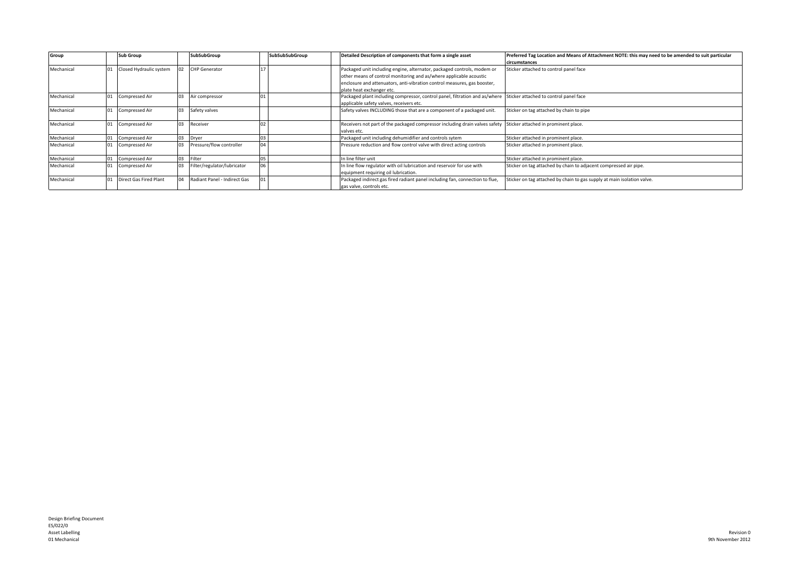| Group      |    | <b>Sub Group</b>        |    | SubSubGroup                  | SubSubSubGroup | Detailed Description of components that form a single asset                                                                                                                                                                                            | Preferred Tag Location and Means of Attachment NOTE: this may need to be amended to suit particular<br>circumstances |
|------------|----|-------------------------|----|------------------------------|----------------|--------------------------------------------------------------------------------------------------------------------------------------------------------------------------------------------------------------------------------------------------------|----------------------------------------------------------------------------------------------------------------------|
| Mechanical |    | Closed Hydraulic system |    | <b>CHP</b> Generator         |                | Packaged unit including engine, alternator, packaged controls, modem or<br>other means of control monitoring and as/where applicable acoustic<br>enclosure and attenuators, anti-vibration control measures, gas booster,<br>plate heat exchanger etc. | Sticker attached to control panel face                                                                               |
| Mechanical |    | Compressed Air          | 03 | Air compressor               |                | Packaged plant including compressor, control panel, filtration and as/where Sticker attached to control panel face<br>applicable safety valves, receivers etc.                                                                                         |                                                                                                                      |
| Mechanical | 01 | <b>Compressed Air</b>   | 03 | Safety valves                |                | Safety valves INCLUDING those that are a component of a packaged unit.                                                                                                                                                                                 | Sticker on tag attached by chain to pipe                                                                             |
| Mechanical |    | <b>Compressed Air</b>   | 03 | Receiver                     |                | Receivers not part of the packaged compressor including drain valves safety Sticker attached in prominent place.<br>valves etc.                                                                                                                        |                                                                                                                      |
| Mechanical |    | <b>Compressed Air</b>   | 03 | Dryer                        |                | Packaged unit including dehumidifier and controls sytem                                                                                                                                                                                                | Sticker attached in prominent place.                                                                                 |
| Mechanical |    | <b>Compressed Air</b>   | 03 | Pressure/flow controller     |                | Pressure reduction and flow control valve with direct acting controls                                                                                                                                                                                  | Sticker attached in prominent place.                                                                                 |
| Mechanical |    | Compressed Air          | 03 | Filter                       |                | In line filter unit                                                                                                                                                                                                                                    | Sticker attached in prominent place.                                                                                 |
| Mechanical |    | Compressed Air          | 03 | Filter/regulator/lubricator  |                | In line flow regulator with oil lubrication and reservoir for use with<br>equipment requiring oil lubrication.                                                                                                                                         | Sticker on tag attached by chain to adjacent compressed air pipe.                                                    |
| Mechanical |    | Direct Gas Fired Plant  | 04 | Radiant Panel - Indirect Gas |                | Packaged indirect gas fired radiant panel including fan, connection to flue,<br>gas valve, controls etc.                                                                                                                                               | Sticker on tag attached by chain to gas supply at main isolation valve.                                              |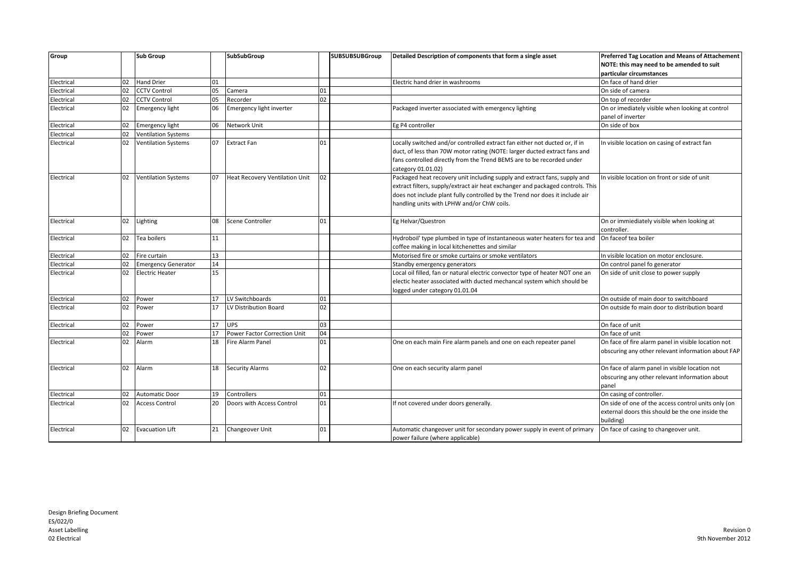| Group      |    | Sub Group                  |    | <b>SubSubGroup</b>             |    | <b>SUBSUBSUBGroup</b> | Detailed Description of components that form a single asset                                                                                                                                                                                                                               | <b>Preferred Tag Location and Means of Attachement</b>                                                               |
|------------|----|----------------------------|----|--------------------------------|----|-----------------------|-------------------------------------------------------------------------------------------------------------------------------------------------------------------------------------------------------------------------------------------------------------------------------------------|----------------------------------------------------------------------------------------------------------------------|
|            |    |                            |    |                                |    |                       |                                                                                                                                                                                                                                                                                           | NOTE: this may need to be amended to suit                                                                            |
|            |    |                            |    |                                |    |                       |                                                                                                                                                                                                                                                                                           | particular circumstances                                                                                             |
| Electrical | 02 | <b>Hand Drier</b>          | 01 |                                |    |                       | Electric hand drier in washrooms                                                                                                                                                                                                                                                          | On face of hand drier                                                                                                |
| Electrical | 02 | <b>CCTV Control</b>        | 05 | Camera                         | 01 |                       |                                                                                                                                                                                                                                                                                           | On side of camera                                                                                                    |
| Electrical | 02 | <b>CCTV Control</b>        | 05 | Recorder                       | 02 |                       |                                                                                                                                                                                                                                                                                           | On top of recorder                                                                                                   |
| Electrical | 02 | <b>Emergency light</b>     | 06 | Emergency light inverter       |    |                       | Packaged inverter associated with emergency lighting                                                                                                                                                                                                                                      | On or imediately visible when looking at control                                                                     |
| Electrical | 02 | <b>Emergency light</b>     | 06 | Network Unit                   |    |                       | Eg P4 controller                                                                                                                                                                                                                                                                          | panel of inverter<br>On side of box                                                                                  |
| Electrical | 02 | <b>Ventilation Systems</b> |    |                                |    |                       |                                                                                                                                                                                                                                                                                           |                                                                                                                      |
| Electrical | 02 | <b>Ventilation Systems</b> | 07 | <b>Extract Fan</b>             | 01 |                       | Locally switched and/or controlled extract fan either not ducted or, if in<br>duct, of less than 70W motor rating (NOTE: larger ducted extract fans and<br>fans controlled directly from the Trend BEMS are to be recorded under<br>category 01.01.02)                                    | In visible location on casing of extract fan                                                                         |
| Electrical | 02 | <b>Ventilation Systems</b> | 07 | Heat Recovery Ventilation Unit | 02 |                       | Packaged heat recovery unit including supply and extract fans, supply and<br>extract filters, supply/extract air heat exchanger and packaged controls. This<br>does not include plant fully controlled by the Trend nor does it include air<br>handling units with LPHW and/or ChW coils. | In visible location on front or side of unit                                                                         |
| Electrical | 02 | Lighting                   | 08 | Scene Controller               | 01 |                       | Eg Helvar/Questron                                                                                                                                                                                                                                                                        | On or immiediately visible when looking at<br>controller.                                                            |
| Electrical | 02 | Tea boilers                | 11 |                                |    |                       | Hydroboil' type plumbed in type of instantaneous water heaters for tea and<br>coffee making in local kitchenettes and similar                                                                                                                                                             | On faceof tea boiler                                                                                                 |
| Electrical | 02 | Fire curtain               | 13 |                                |    |                       | Motorised fire or smoke curtains or smoke ventilators                                                                                                                                                                                                                                     | In visible location on motor enclosure.                                                                              |
| Electrical | 02 | <b>Emergency Generator</b> | 14 |                                |    |                       | Standby emergency generators                                                                                                                                                                                                                                                              | On control panel fo generator                                                                                        |
| Electrical | 02 | <b>Electric Heater</b>     | 15 |                                |    |                       | Local oil filled, fan or natural electric convector type of heater NOT one an<br>electic heater associated with ducted mechancal system which should be<br>logged under category 01.01.04                                                                                                 | On side of unit close to power supply                                                                                |
| Electrical | 02 | Power                      | 17 | LV Switchboards                | 01 |                       |                                                                                                                                                                                                                                                                                           | On outside of main door to switchboard                                                                               |
| Electrical | 02 | Power                      | 17 | LV Distribution Board          | 02 |                       |                                                                                                                                                                                                                                                                                           | On outside fo main door to distribution board                                                                        |
| Electrical | 02 | Power                      | 17 | <b>UPS</b>                     | 03 |                       |                                                                                                                                                                                                                                                                                           | On face of unit                                                                                                      |
|            | 02 | Power                      | 17 | Power Factor Correction Unit   | 04 |                       |                                                                                                                                                                                                                                                                                           | On face of unit                                                                                                      |
| Electrical | 02 | Alarm                      | 18 | Fire Alarm Panel               | 01 |                       | One on each main Fire alarm panels and one on each repeater panel                                                                                                                                                                                                                         | On face of fire alarm panel in visible location not<br>obscuring any other relevant information about FAP            |
| Electrical | 02 | Alarm                      | 18 | <b>Security Alarms</b>         | 02 |                       | One on each security alarm panel                                                                                                                                                                                                                                                          | On face of alarm panel in visible location not<br>obscuring any other relevant information about<br>panel            |
| Electrical | 02 | <b>Automatic Door</b>      | 19 | Controllers                    | 01 |                       |                                                                                                                                                                                                                                                                                           | On casing of controller.                                                                                             |
| Electrical | 02 | <b>Access Control</b>      | 20 | Doors with Access Control      | 01 |                       | If not covered under doors generally.                                                                                                                                                                                                                                                     | On side of one of the access control units only (on<br>external doors this should be the one inside the<br>building) |
| Electrical | 02 | <b>Evacuation Lift</b>     | 21 | Changeover Unit                | 01 |                       | Automatic changeover unit for secondary power supply in event of primary<br>power failure (where applicable)                                                                                                                                                                              | On face of casing to changeover unit.                                                                                |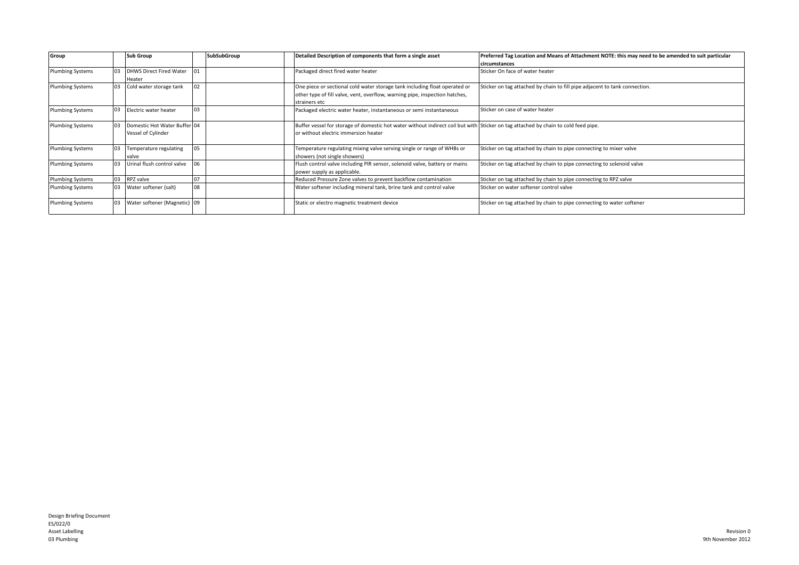| Group                   |                | <b>Sub Group</b>                                   |    | SubSubGroup | Detailed Description of components that form a single asset                                                                                                                | Preferred Tag Location and Means of Attachment NOTE: this may need to be amended to suit particular<br>circumstances |
|-------------------------|----------------|----------------------------------------------------|----|-------------|----------------------------------------------------------------------------------------------------------------------------------------------------------------------------|----------------------------------------------------------------------------------------------------------------------|
| <b>Plumbing Systems</b> | 0 <sub>3</sub> | <b>DHWS Direct Fired Water</b><br>Heater           | 01 |             | Packaged direct fired water heater                                                                                                                                         | Sticker On face of water heater                                                                                      |
| Plumbing Systems        |                | Cold water storage tank                            | 02 |             | One piece or sectional cold water storage tank including float operated or<br>other type of fill valve, vent, overflow, warning pipe, inspection hatches,<br>strainers etc | Sticker on tag attached by chain to fill pipe adjacent to tank connection.                                           |
| <b>Plumbing Systems</b> | 03             | Electric water heater                              | 03 |             | Packaged electric water heater, instantaneous or semi instantaneous                                                                                                        | Sticker on case of water heater                                                                                      |
| <b>Plumbing Systems</b> |                | Domestic Hot Water Buffer 04<br>Vessel of Cylinder |    |             | Buffer vessel for storage of domestic hot water without indirect coil but with Sticker on tag attached by chain to cold feed pipe.<br>or without electric immersion heater |                                                                                                                      |
| <b>Plumbing Systems</b> | 03             | Temperature regulating<br>valve                    | 05 |             | Temperature regulating mixing valve serving single or range of WHBs or<br>showers (not single showers)                                                                     | Sticker on tag attached by chain to pipe connecting to mixer valve                                                   |
| <b>Plumbing Systems</b> | 03             | Urinal flush control valve                         | 06 |             | Flush control valve including PIR sensor, solenoid valve, battery or mains<br>power supply as applicable.                                                                  | Sticker on tag attached by chain to pipe connecting to solenoid valve                                                |
| <b>Plumbing Systems</b> | 03             | RPZ valve                                          | 07 |             | Reduced Pressure Zone valves to prevent backflow contamination                                                                                                             | Sticker on tag attached by chain to pipe connecting to RPZ valve                                                     |
| Plumbing Systems        | 03             | Water softener (salt)                              | 08 |             | Water softener including mineral tank, brine tank and control valve                                                                                                        | Sticker on water softener control valve                                                                              |
| <b>Plumbing Systems</b> | 03             | Water softener (Magnetic) 09                       |    |             | Static or electro magnetic treatment device                                                                                                                                | Sticker on tag attached by chain to pipe connecting to water softener                                                |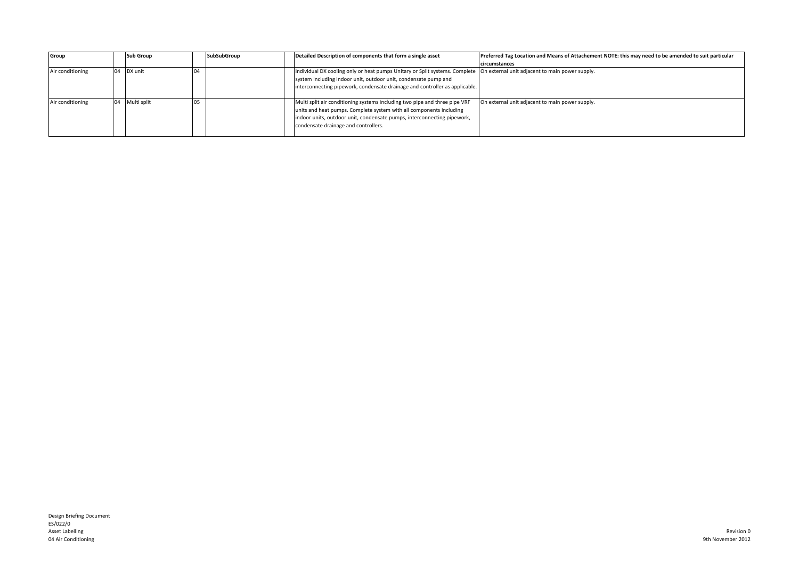| Group            | <b>Sub Group</b> | SubSubGroup | Detailed Description of components that form a single asset                 | Preferred Tag Location and Means of Attachement NOTE: this may need to be amended to suit particular |
|------------------|------------------|-------------|-----------------------------------------------------------------------------|------------------------------------------------------------------------------------------------------|
|                  |                  |             |                                                                             | circumstances                                                                                        |
| Air conditioning | DX unit          |             | Individual DX cooling only or heat pumps Unitary or Split systems. Complete | On external unit adjacent to main power supply.                                                      |
|                  |                  |             | system including indoor unit, outdoor unit, condensate pump and             |                                                                                                      |
|                  |                  |             | interconnecting pipework, condensate drainage and controller as applicable. |                                                                                                      |
|                  |                  |             |                                                                             |                                                                                                      |
| Air conditioning | Multi split      |             | Multi split air conditioning systems including two pipe and three pipe VRF  | On external unit adjacent to main power supply.                                                      |
|                  |                  |             | units and heat pumps. Complete system with all components including         |                                                                                                      |
|                  |                  |             | indoor units, outdoor unit, condensate pumps, interconnecting pipework,     |                                                                                                      |
|                  |                  |             | condensate drainage and controllers.                                        |                                                                                                      |
|                  |                  |             |                                                                             |                                                                                                      |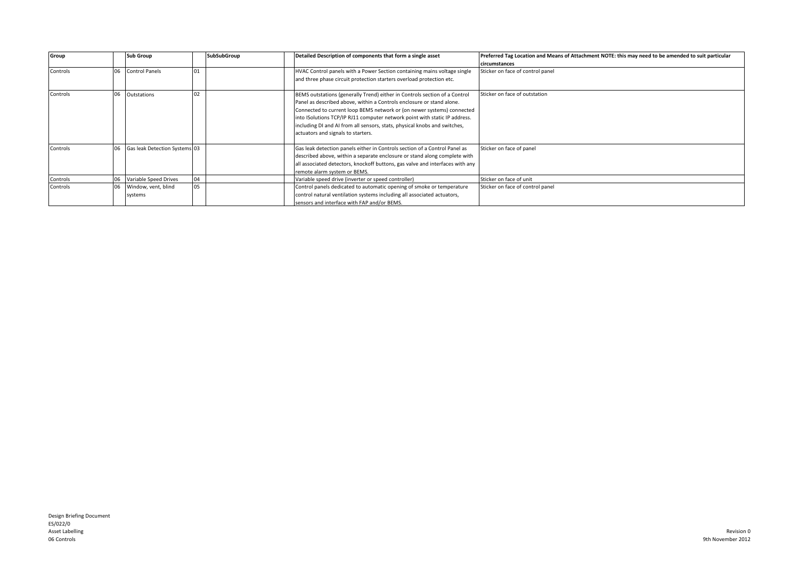| Group    |    | <b>Sub Group</b>               |    | SubSubGroup | Detailed Description of components that form a single asset                                                                                                                                                                                                                                                                                                                                                                    | Preferred Tag Location and Means of Attachment NOTE: this may need to be amended to suit particular<br>circumstances |
|----------|----|--------------------------------|----|-------------|--------------------------------------------------------------------------------------------------------------------------------------------------------------------------------------------------------------------------------------------------------------------------------------------------------------------------------------------------------------------------------------------------------------------------------|----------------------------------------------------------------------------------------------------------------------|
| Controls | 06 | <b>Control Panels</b>          | 01 |             | HVAC Control panels with a Power Section containing mains voltage single<br>and three phase circuit protection starters overload protection etc.                                                                                                                                                                                                                                                                               | Sticker on face of control panel                                                                                     |
| Controls |    | Outstations                    | 02 |             | BEMS outstations (generally Trend) either in Controls section of a Control<br>Panel as described above, within a Controls enclosure or stand alone.<br>Connected to current loop BEMS network or (on newer systems) connected<br>into ISolutions TCP/IP RJ11 computer network point with static IP address.<br>including DI and AI from all sensors, stats, physical knobs and switches,<br>actuators and signals to starters. | Sticker on face of outstation                                                                                        |
| Controls |    | Gas leak Detection Systems 03  |    |             | Gas leak detection panels either in Controls section of a Control Panel as<br>described above, within a separate enclosure or stand along complete with<br>all associated detectors, knockoff buttons, gas valve and interfaces with any<br>remote alarm system or BEMS.                                                                                                                                                       | Sticker on face of panel                                                                                             |
| Controls |    | Variable Speed Drives          | 04 |             | Variable speed drive (inverter or speed controller)                                                                                                                                                                                                                                                                                                                                                                            | Sticker on face of unit                                                                                              |
| Controls | 06 | Window, vent, blind<br>systems | 05 |             | Control panels dedicated to automatic opening of smoke or temperature<br>control natural ventilation systems including all associated actuators,<br>sensors and interface with FAP and/or BEMS.                                                                                                                                                                                                                                | Sticker on face of control panel                                                                                     |